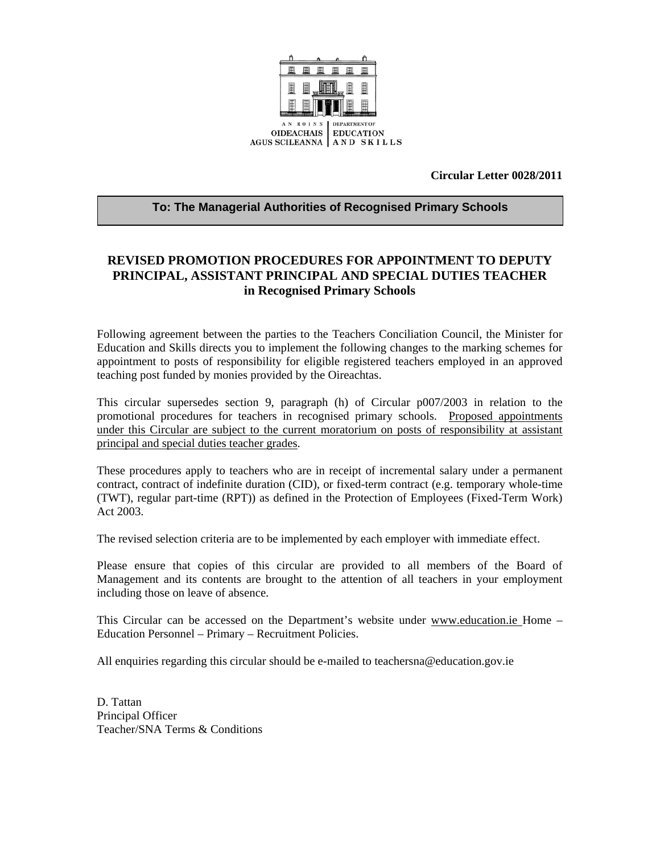

**Circular Letter 0028/2011** 

#### **To: The Managerial Authorities of Recognised Primary Schools**

# **REVISED PROMOTION PROCEDURES FOR APPOINTMENT TO DEPUTY PRINCIPAL, ASSISTANT PRINCIPAL AND SPECIAL DUTIES TEACHER in Recognised Primary Schools**

Following agreement between the parties to the Teachers Conciliation Council, the Minister for Education and Skills directs you to implement the following changes to the marking schemes for appointment to posts of responsibility for eligible registered teachers employed in an approved teaching post funded by monies provided by the Oireachtas.

This circular supersedes section 9, paragraph (h) of Circular p007/2003 in relation to the promotional procedures for teachers in recognised primary schools. Proposed appointments under this Circular are subject to the current moratorium on posts of responsibility at assistant principal and special duties teacher grades.

These procedures apply to teachers who are in receipt of incremental salary under a permanent contract, contract of indefinite duration (CID), or fixed-term contract (e.g. temporary whole-time (TWT), regular part-time (RPT)) as defined in the Protection of Employees (Fixed-Term Work) Act 2003.

The revised selection criteria are to be implemented by each employer with immediate effect.

Please ensure that copies of this circular are provided to all members of the Board of Management and its contents are brought to the attention of all teachers in your employment including those on leave of absence.

This Circular can be accessed on the Department's website under www.education.ie Home – Education Personnel – Primary – Recruitment Policies.

All enquiries regarding this circular should be e-mailed to teachersna@education.gov.ie

D. Tattan Principal Officer Teacher/SNA Terms & Conditions